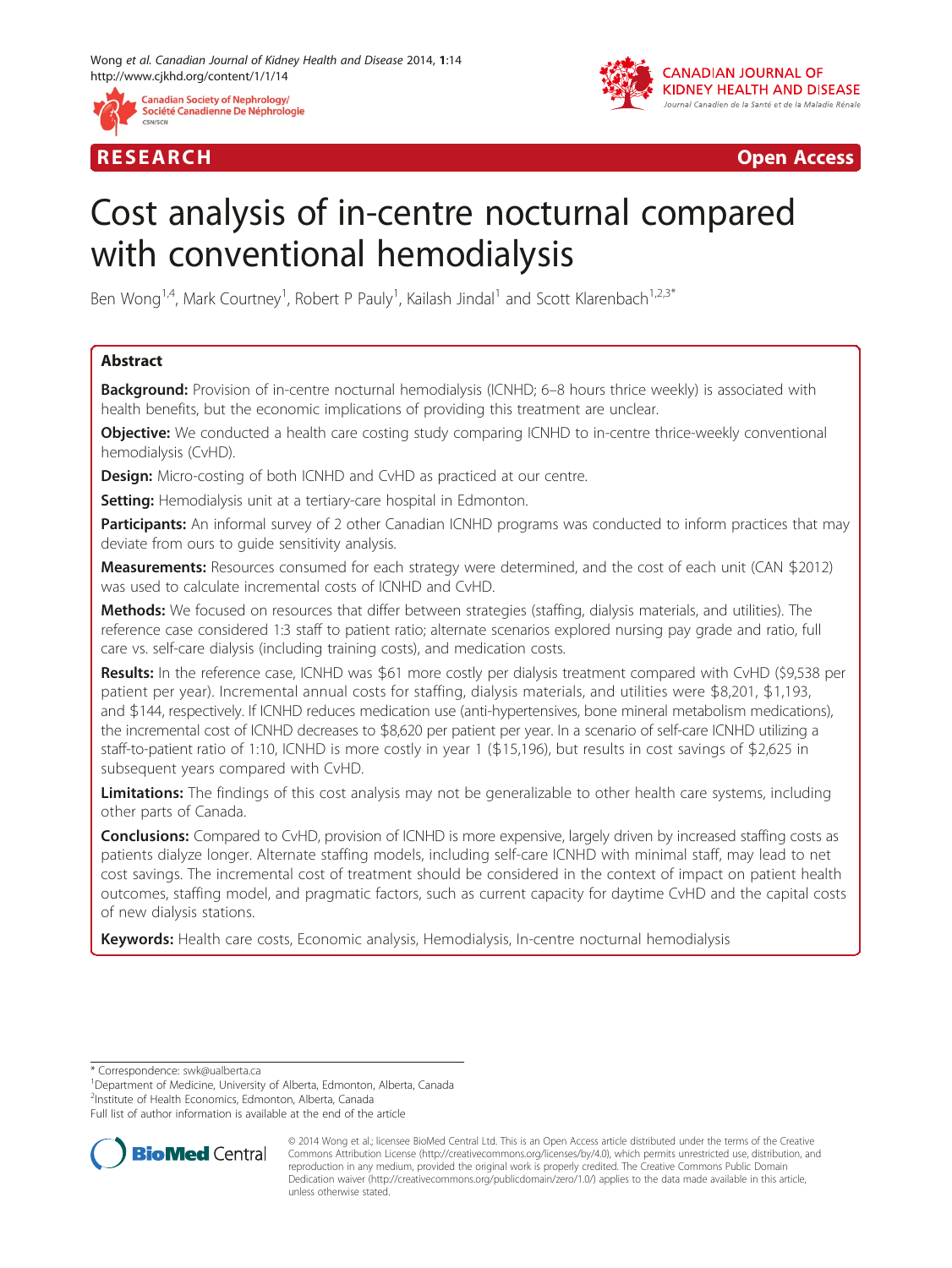

R E S EAR CH Open Access



# Cost analysis of in-centre nocturnal compared with conventional hemodialysis

Ben Wong<sup>1,4</sup>, Mark Courtney<sup>1</sup>, Robert P Pauly<sup>1</sup>, Kailash Jindal<sup>1</sup> and Scott Klarenbach<sup>1,2,3\*</sup>

## Abstract

Background: Provision of in-centre nocturnal hemodialysis (ICNHD; 6–8 hours thrice weekly) is associated with health benefits, but the economic implications of providing this treatment are unclear.

Objective: We conducted a health care costing study comparing ICNHD to in-centre thrice-weekly conventional hemodialysis (CvHD).

**Design:** Micro-costing of both ICNHD and CvHD as practiced at our centre.

Setting: Hemodialysis unit at a tertiary-care hospital in Edmonton.

Participants: An informal survey of 2 other Canadian ICNHD programs was conducted to inform practices that may deviate from ours to guide sensitivity analysis.

Measurements: Resources consumed for each strategy were determined, and the cost of each unit (CAN \$2012) was used to calculate incremental costs of ICNHD and CvHD.

Methods: We focused on resources that differ between strategies (staffing, dialysis materials, and utilities). The reference case considered 1:3 staff to patient ratio; alternate scenarios explored nursing pay grade and ratio, full care vs. self-care dialysis (including training costs), and medication costs.

Results: In the reference case, ICNHD was \$61 more costly per dialysis treatment compared with CvHD (\$9,538 per patient per year). Incremental annual costs for staffing, dialysis materials, and utilities were \$8,201, \$1,193, and \$144, respectively. If ICNHD reduces medication use (anti-hypertensives, bone mineral metabolism medications), the incremental cost of ICNHD decreases to \$8,620 per patient per year. In a scenario of self-care ICNHD utilizing a staff-to-patient ratio of 1:10, ICNHD is more costly in year 1 (\$15,196), but results in cost savings of \$2,625 in subsequent years compared with CvHD.

Limitations: The findings of this cost analysis may not be generalizable to other health care systems, including other parts of Canada.

**Conclusions:** Compared to CvHD, provision of ICNHD is more expensive, largely driven by increased staffing costs as patients dialyze longer. Alternate staffing models, including self-care ICNHD with minimal staff, may lead to net cost savings. The incremental cost of treatment should be considered in the context of impact on patient health outcomes, staffing model, and pragmatic factors, such as current capacity for daytime CvHD and the capital costs of new dialysis stations.

Keywords: Health care costs, Economic analysis, Hemodialysis, In-centre nocturnal hemodialysis

\* Correspondence: [swk@ualberta.ca](mailto:swk@ualberta.ca) <sup>1</sup>

<sup>1</sup>Department of Medicine, University of Alberta, Edmonton, Alberta, Canada

2 Institute of Health Economics, Edmonton, Alberta, Canada

Full list of author information is available at the end of the article



<sup>© 2014</sup> Wong et al.; licensee BioMed Central Ltd. This is an Open Access article distributed under the terms of the Creative Commons Attribution License [\(http://creativecommons.org/licenses/by/4.0\)](http://creativecommons.org/licenses/by/4.0), which permits unrestricted use, distribution, and reproduction in any medium, provided the original work is properly credited. The Creative Commons Public Domain Dedication waiver [\(http://creativecommons.org/publicdomain/zero/1.0/](http://creativecommons.org/publicdomain/zero/1.0/)) applies to the data made available in this article, unless otherwise stated.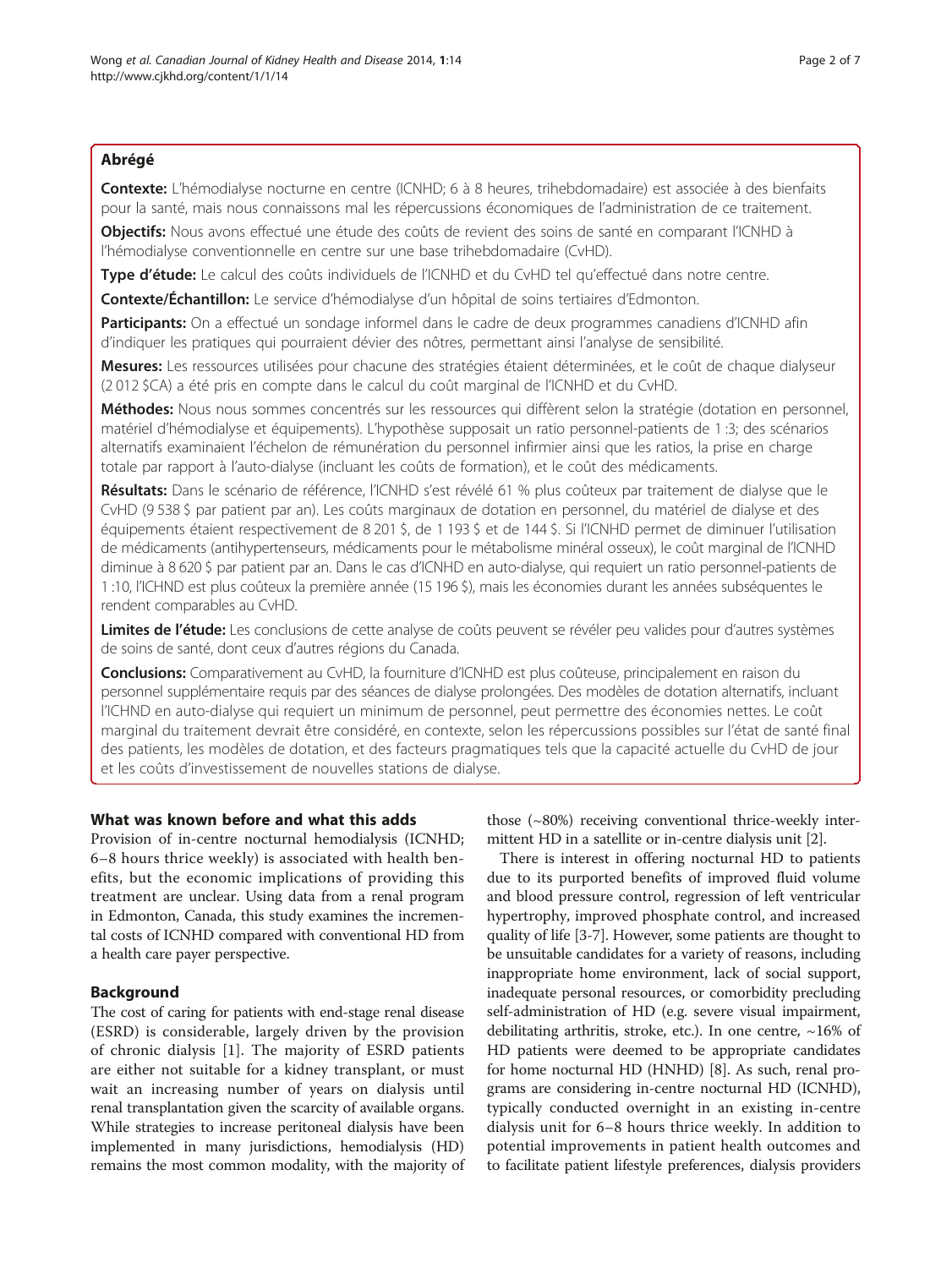## Abrégé

Contexte: L'hémodialyse nocturne en centre (ICNHD; 6 à 8 heures, trihebdomadaire) est associée à des bienfaits pour la santé, mais nous connaissons mal les répercussions économiques de l'administration de ce traitement.

Objectifs: Nous avons effectué une étude des coûts de revient des soins de santé en comparant l'ICNHD à l'hémodialyse conventionnelle en centre sur une base trihebdomadaire (CvHD).

Type d'étude: Le calcul des coûts individuels de l'ICNHD et du CvHD tel qu'effectué dans notre centre.

Contexte/Échantillon: Le service d'hémodialyse d'un hôpital de soins tertiaires d'Edmonton.

Participants: On a effectué un sondage informel dans le cadre de deux programmes canadiens d'ICNHD afin d'indiquer les pratiques qui pourraient dévier des nôtres, permettant ainsi l'analyse de sensibilité.

Mesures: Les ressources utilisées pour chacune des stratégies étaient déterminées, et le coût de chaque dialyseur (2 012 \$CA) a été pris en compte dans le calcul du coût marginal de l'ICNHD et du CvHD.

Méthodes: Nous nous sommes concentrés sur les ressources qui diffèrent selon la stratégie (dotation en personnel, matériel d'hémodialyse et équipements). L'hypothèse supposait un ratio personnel-patients de 1 :3; des scénarios alternatifs examinaient l'échelon de rémunération du personnel infirmier ainsi que les ratios, la prise en charge totale par rapport à l'auto-dialyse (incluant les coûts de formation), et le coût des médicaments.

Résultats: Dans le scénario de référence, l'ICNHD s'est révélé 61 % plus coûteux par traitement de dialyse que le CvHD (9 538 \$ par patient par an). Les coûts marginaux de dotation en personnel, du matériel de dialyse et des équipements étaient respectivement de 8 201 \$, de 1 193 \$ et de 144 \$. Si l'ICNHD permet de diminuer l'utilisation de médicaments (antihypertenseurs, médicaments pour le métabolisme minéral osseux), le coût marginal de l'ICNHD diminue à 8 620 \$ par patient par an. Dans le cas d'ICNHD en auto-dialyse, qui requiert un ratio personnel-patients de 1 :10, l'ICHND est plus coûteux la première année (15 196 \$), mais les économies durant les années subséquentes le rendent comparables au CvHD.

Limites de l'étude: Les conclusions de cette analyse de coûts peuvent se révéler peu valides pour d'autres systèmes de soins de santé, dont ceux d'autres régions du Canada.

Conclusions: Comparativement au CvHD, la fourniture d'ICNHD est plus coûteuse, principalement en raison du personnel supplémentaire requis par des séances de dialyse prolongées. Des modèles de dotation alternatifs, incluant l'ICHND en auto-dialyse qui requiert un minimum de personnel, peut permettre des économies nettes. Le coût marginal du traitement devrait être considéré, en contexte, selon les répercussions possibles sur l'état de santé final des patients, les modèles de dotation, et des facteurs pragmatiques tels que la capacité actuelle du CvHD de jour et les coûts d'investissement de nouvelles stations de dialyse.

## What was known before and what this adds

Provision of in-centre nocturnal hemodialysis (ICNHD; 6–8 hours thrice weekly) is associated with health benefits, but the economic implications of providing this treatment are unclear. Using data from a renal program in Edmonton, Canada, this study examines the incremental costs of ICNHD compared with conventional HD from a health care payer perspective.

## Background

The cost of caring for patients with end-stage renal disease (ESRD) is considerable, largely driven by the provision of chronic dialysis [\[1](#page-6-0)]. The majority of ESRD patients are either not suitable for a kidney transplant, or must wait an increasing number of years on dialysis until renal transplantation given the scarcity of available organs. While strategies to increase peritoneal dialysis have been implemented in many jurisdictions, hemodialysis (HD) remains the most common modality, with the majority of those (~80%) receiving conventional thrice-weekly intermittent HD in a satellite or in-centre dialysis unit [\[2](#page-6-0)].

There is interest in offering nocturnal HD to patients due to its purported benefits of improved fluid volume and blood pressure control, regression of left ventricular hypertrophy, improved phosphate control, and increased quality of life [[3-7\]](#page-6-0). However, some patients are thought to be unsuitable candidates for a variety of reasons, including inappropriate home environment, lack of social support, inadequate personal resources, or comorbidity precluding self-administration of HD (e.g. severe visual impairment, debilitating arthritis, stroke, etc.). In one centre,  $\sim$ 16% of HD patients were deemed to be appropriate candidates for home nocturnal HD (HNHD) [\[8\]](#page-6-0). As such, renal programs are considering in-centre nocturnal HD (ICNHD), typically conducted overnight in an existing in-centre dialysis unit for 6–8 hours thrice weekly. In addition to potential improvements in patient health outcomes and to facilitate patient lifestyle preferences, dialysis providers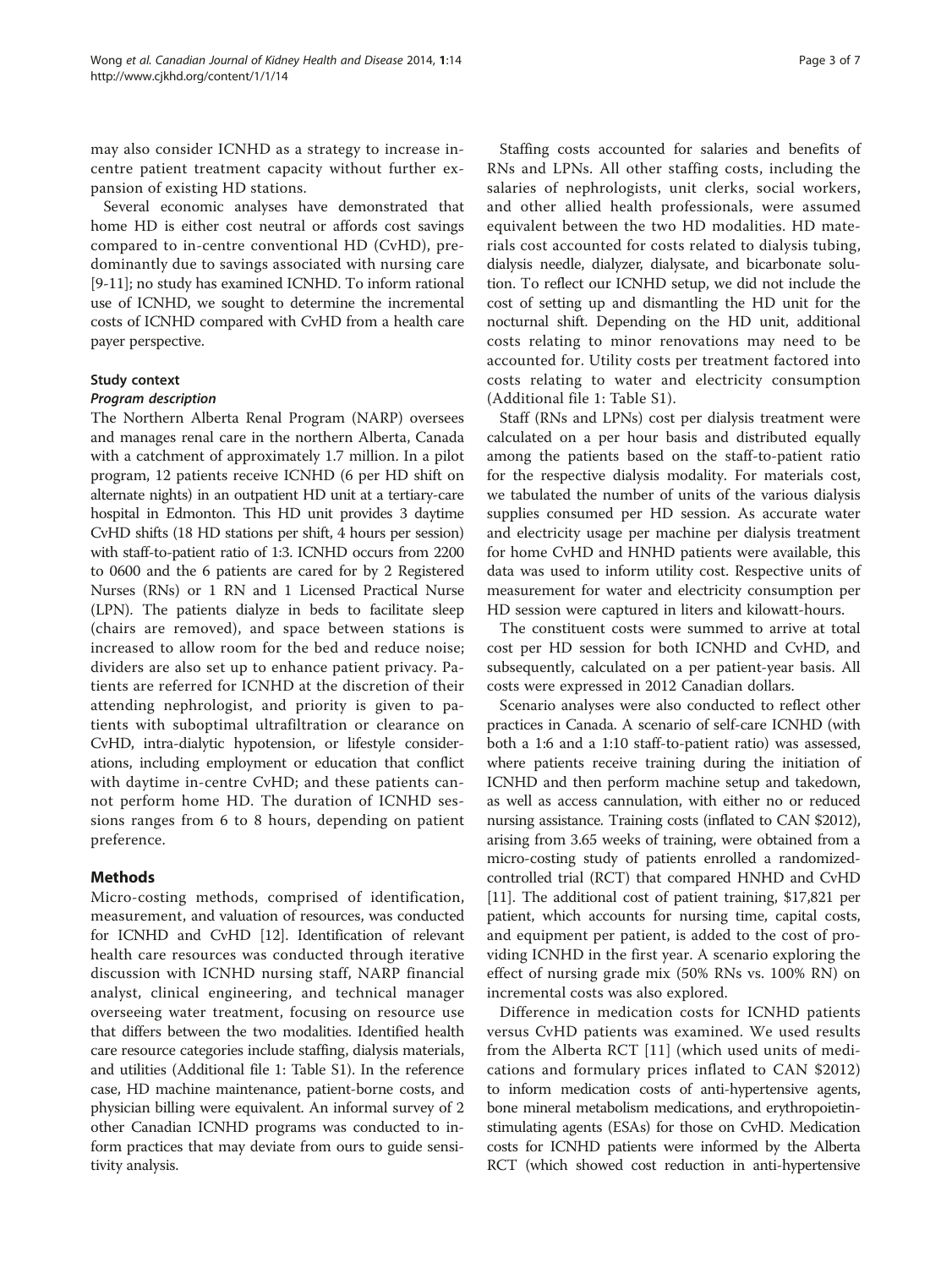may also consider ICNHD as a strategy to increase incentre patient treatment capacity without further expansion of existing HD stations.

Several economic analyses have demonstrated that home HD is either cost neutral or affords cost savings compared to in-centre conventional HD (CvHD), predominantly due to savings associated with nursing care [[9-11\]](#page-6-0); no study has examined ICNHD. To inform rational use of ICNHD, we sought to determine the incremental costs of ICNHD compared with CvHD from a health care payer perspective.

### Study context

#### Program description

The Northern Alberta Renal Program (NARP) oversees and manages renal care in the northern Alberta, Canada with a catchment of approximately 1.7 million. In a pilot program, 12 patients receive ICNHD (6 per HD shift on alternate nights) in an outpatient HD unit at a tertiary-care hospital in Edmonton. This HD unit provides 3 daytime CvHD shifts (18 HD stations per shift, 4 hours per session) with staff-to-patient ratio of 1:3. ICNHD occurs from 2200 to 0600 and the 6 patients are cared for by 2 Registered Nurses (RNs) or 1 RN and 1 Licensed Practical Nurse (LPN). The patients dialyze in beds to facilitate sleep (chairs are removed), and space between stations is increased to allow room for the bed and reduce noise; dividers are also set up to enhance patient privacy. Patients are referred for ICNHD at the discretion of their attending nephrologist, and priority is given to patients with suboptimal ultrafiltration or clearance on CvHD, intra-dialytic hypotension, or lifestyle considerations, including employment or education that conflict with daytime in-centre CvHD; and these patients cannot perform home HD. The duration of ICNHD sessions ranges from 6 to 8 hours, depending on patient preference.

## Methods

Micro-costing methods, comprised of identification, measurement, and valuation of resources, was conducted for ICNHD and CvHD [[12](#page-6-0)]. Identification of relevant health care resources was conducted through iterative discussion with ICNHD nursing staff, NARP financial analyst, clinical engineering, and technical manager overseeing water treatment, focusing on resource use that differs between the two modalities. Identified health care resource categories include staffing, dialysis materials, and utilities (Additional file [1:](#page-6-0) Table S1). In the reference case, HD machine maintenance, patient-borne costs, and physician billing were equivalent. An informal survey of 2 other Canadian ICNHD programs was conducted to inform practices that may deviate from ours to guide sensitivity analysis.

Staffing costs accounted for salaries and benefits of RNs and LPNs. All other staffing costs, including the salaries of nephrologists, unit clerks, social workers, and other allied health professionals, were assumed equivalent between the two HD modalities. HD materials cost accounted for costs related to dialysis tubing, dialysis needle, dialyzer, dialysate, and bicarbonate solution. To reflect our ICNHD setup, we did not include the cost of setting up and dismantling the HD unit for the nocturnal shift. Depending on the HD unit, additional costs relating to minor renovations may need to be accounted for. Utility costs per treatment factored into costs relating to water and electricity consumption (Additional file [1:](#page-6-0) Table S1).

Staff (RNs and LPNs) cost per dialysis treatment were calculated on a per hour basis and distributed equally among the patients based on the staff-to-patient ratio for the respective dialysis modality. For materials cost, we tabulated the number of units of the various dialysis supplies consumed per HD session. As accurate water and electricity usage per machine per dialysis treatment for home CvHD and HNHD patients were available, this data was used to inform utility cost. Respective units of measurement for water and electricity consumption per HD session were captured in liters and kilowatt-hours.

The constituent costs were summed to arrive at total cost per HD session for both ICNHD and CvHD, and subsequently, calculated on a per patient-year basis. All costs were expressed in 2012 Canadian dollars.

Scenario analyses were also conducted to reflect other practices in Canada. A scenario of self-care ICNHD (with both a 1:6 and a 1:10 staff-to-patient ratio) was assessed, where patients receive training during the initiation of ICNHD and then perform machine setup and takedown, as well as access cannulation, with either no or reduced nursing assistance. Training costs (inflated to CAN \$2012), arising from 3.65 weeks of training, were obtained from a micro-costing study of patients enrolled a randomizedcontrolled trial (RCT) that compared HNHD and CvHD [[11](#page-6-0)]. The additional cost of patient training, \$17,821 per patient, which accounts for nursing time, capital costs, and equipment per patient, is added to the cost of providing ICNHD in the first year. A scenario exploring the effect of nursing grade mix (50% RNs vs. 100% RN) on incremental costs was also explored.

Difference in medication costs for ICNHD patients versus CvHD patients was examined. We used results from the Alberta RCT [\[11\]](#page-6-0) (which used units of medications and formulary prices inflated to CAN \$2012) to inform medication costs of anti-hypertensive agents, bone mineral metabolism medications, and erythropoietinstimulating agents (ESAs) for those on CvHD. Medication costs for ICNHD patients were informed by the Alberta RCT (which showed cost reduction in anti-hypertensive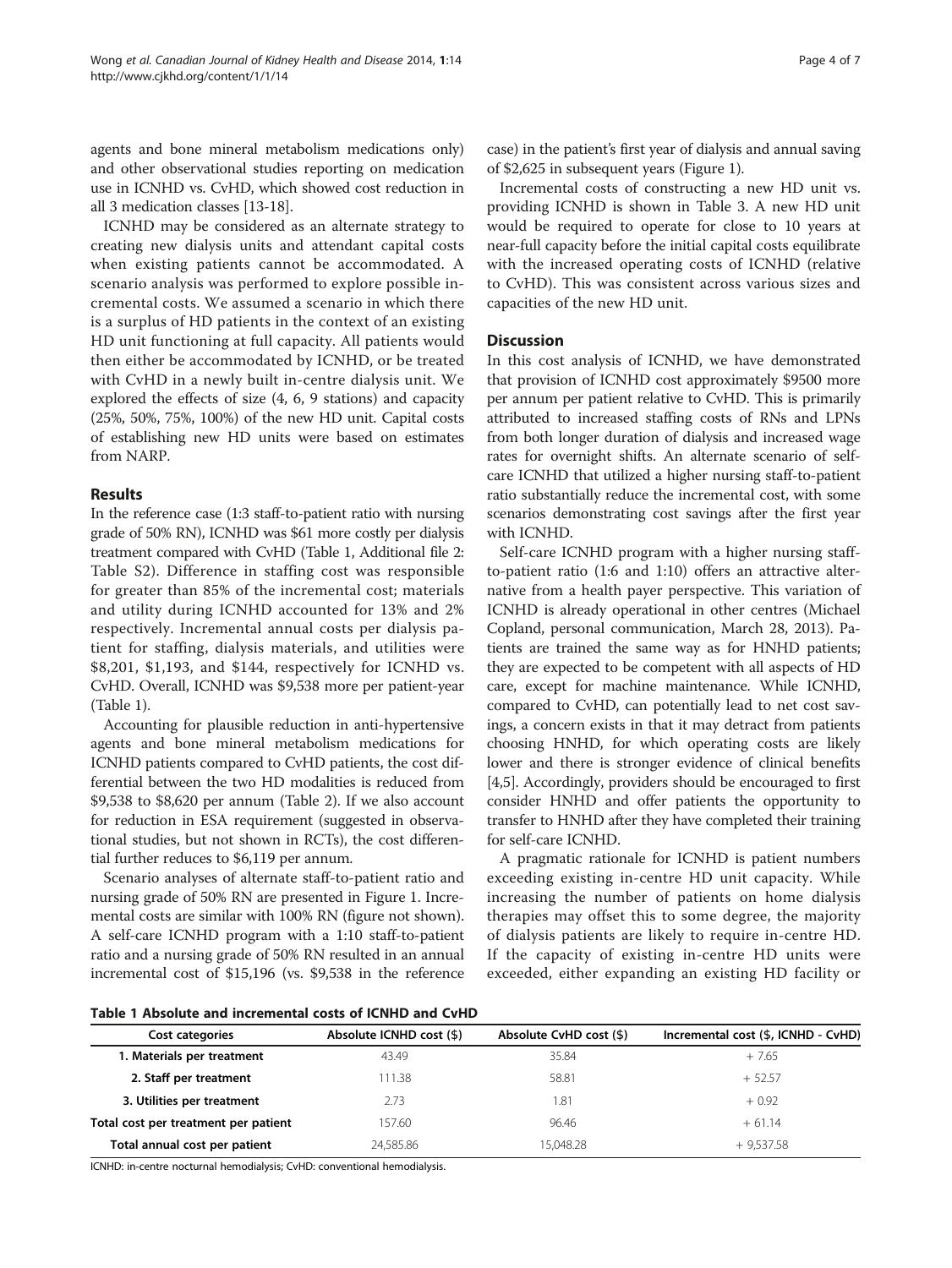agents and bone mineral metabolism medications only) and other observational studies reporting on medication use in ICNHD vs. CvHD, which showed cost reduction in all 3 medication classes [[13](#page-6-0)-[18](#page-6-0)].

ICNHD may be considered as an alternate strategy to creating new dialysis units and attendant capital costs when existing patients cannot be accommodated. A scenario analysis was performed to explore possible incremental costs. We assumed a scenario in which there is a surplus of HD patients in the context of an existing HD unit functioning at full capacity. All patients would then either be accommodated by ICNHD, or be treated with CvHD in a newly built in-centre dialysis unit. We explored the effects of size (4, 6, 9 stations) and capacity (25%, 50%, 75%, 100%) of the new HD unit. Capital costs of establishing new HD units were based on estimates from NARP.

### Results

In the reference case (1:3 staff-to-patient ratio with nursing grade of 50% RN), ICNHD was \$61 more costly per dialysis treatment compared with CvHD (Table 1, Additional file [2](#page-6-0): Table S2). Difference in staffing cost was responsible for greater than 85% of the incremental cost; materials and utility during ICNHD accounted for 13% and 2% respectively. Incremental annual costs per dialysis patient for staffing, dialysis materials, and utilities were \$8,201, \$1,193, and \$144, respectively for ICNHD vs. CvHD. Overall, ICNHD was \$9,538 more per patient-year (Table 1).

Accounting for plausible reduction in anti-hypertensive agents and bone mineral metabolism medications for ICNHD patients compared to CvHD patients, the cost differential between the two HD modalities is reduced from \$9,538 to \$8,620 per annum (Table [2](#page-4-0)). If we also account for reduction in ESA requirement (suggested in observational studies, but not shown in RCTs), the cost differential further reduces to \$6,119 per annum.

Scenario analyses of alternate staff-to-patient ratio and nursing grade of 50% RN are presented in Figure [1](#page-4-0). Incremental costs are similar with 100% RN (figure not shown). A self-care ICNHD program with a 1:10 staff-to-patient ratio and a nursing grade of 50% RN resulted in an annual incremental cost of \$15,196 (vs. \$9,538 in the reference case) in the patient's first year of dialysis and annual saving of \$2,625 in subsequent years (Figure [1\)](#page-4-0).

Incremental costs of constructing a new HD unit vs. providing ICNHD is shown in Table [3](#page-5-0). A new HD unit would be required to operate for close to 10 years at near-full capacity before the initial capital costs equilibrate with the increased operating costs of ICNHD (relative to CvHD). This was consistent across various sizes and capacities of the new HD unit.

### **Discussion**

In this cost analysis of ICNHD, we have demonstrated that provision of ICNHD cost approximately \$9500 more per annum per patient relative to CvHD. This is primarily attributed to increased staffing costs of RNs and LPNs from both longer duration of dialysis and increased wage rates for overnight shifts. An alternate scenario of selfcare ICNHD that utilized a higher nursing staff-to-patient ratio substantially reduce the incremental cost, with some scenarios demonstrating cost savings after the first year with ICNHD.

Self-care ICNHD program with a higher nursing staffto-patient ratio (1:6 and 1:10) offers an attractive alternative from a health payer perspective. This variation of ICNHD is already operational in other centres (Michael Copland, personal communication, March 28, 2013). Patients are trained the same way as for HNHD patients; they are expected to be competent with all aspects of HD care, except for machine maintenance. While ICNHD, compared to CvHD, can potentially lead to net cost savings, a concern exists in that it may detract from patients choosing HNHD, for which operating costs are likely lower and there is stronger evidence of clinical benefits [[4,5\]](#page-6-0). Accordingly, providers should be encouraged to first consider HNHD and offer patients the opportunity to transfer to HNHD after they have completed their training for self-care ICNHD.

A pragmatic rationale for ICNHD is patient numbers exceeding existing in-centre HD unit capacity. While increasing the number of patients on home dialysis therapies may offset this to some degree, the majority of dialysis patients are likely to require in-centre HD. If the capacity of existing in-centre HD units were exceeded, either expanding an existing HD facility or

Table 1 Absolute and incremental costs of ICNHD and CvHD

| Cost categories                      | Absolute ICNHD cost (\$) | Absolute CvHD cost (\$) | Incremental cost (\$, ICNHD - CvHD) |  |
|--------------------------------------|--------------------------|-------------------------|-------------------------------------|--|
| 1. Materials per treatment           | 43.49                    | 35.84                   | $+7.65$                             |  |
| 2. Staff per treatment               | 11.38                    | 58.81                   | $+52.57$                            |  |
| 3. Utilities per treatment           | 2.73                     | 1.81                    | $+0.92$                             |  |
| Total cost per treatment per patient | 157.60                   | 96.46                   | $+61.14$                            |  |
| Total annual cost per patient        | 24.585.86                | 15.048.28               | $+9.537.58$                         |  |

ICNHD: in-centre nocturnal hemodialysis; CvHD: conventional hemodialysis.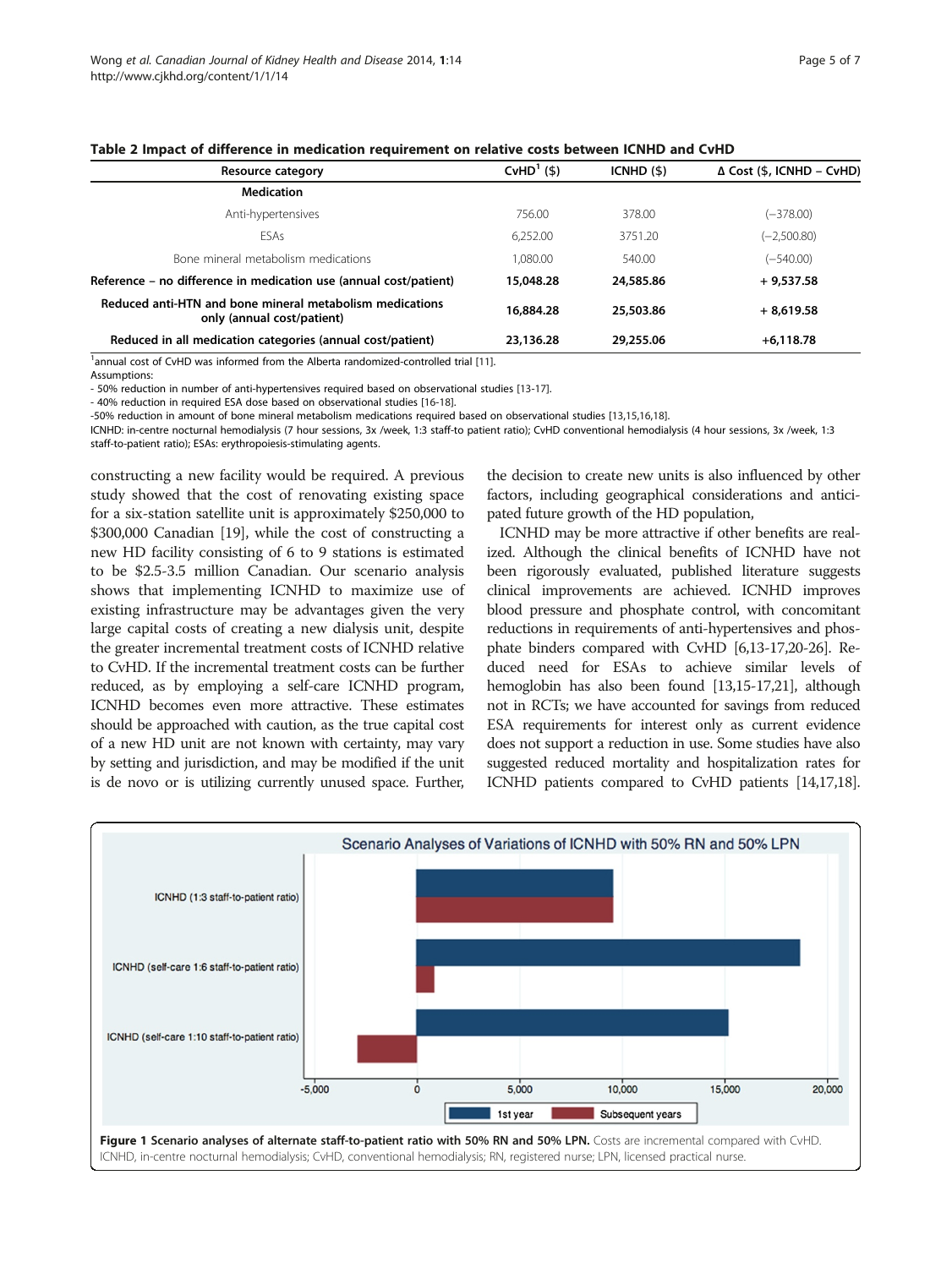| Resource category                                                                      | CvHD <sup>1</sup> $($ \$) | ICNHD(5)  | $\Delta$ Cost (\$, ICNHD – CvHD) |  |
|----------------------------------------------------------------------------------------|---------------------------|-----------|----------------------------------|--|
| <b>Medication</b>                                                                      |                           |           |                                  |  |
| Anti-hypertensives                                                                     | 756.00                    | 378.00    | (–378.00)                        |  |
| <b>FSAs</b>                                                                            | 6.252.00                  | 3751.20   | $(-2,500.80)$                    |  |
| Bone mineral metabolism medications                                                    | 1.080.00                  | 540.00    | (–540.00)                        |  |
| Reference – no difference in medication use (annual cost/patient)                      | 15,048.28                 | 24,585.86 | $+9.537.58$                      |  |
| Reduced anti-HTN and bone mineral metabolism medications<br>only (annual cost/patient) | 16.884.28                 | 25,503.86 | $+8.619.58$                      |  |
| Reduced in all medication categories (annual cost/patient)                             | 23,136.28                 | 29,255.06 | $+6.118.78$                      |  |

<span id="page-4-0"></span>Table 2 Impact of difference in medication requirement on relative costs between ICNHD and CvHD

<sup>1</sup> annual cost of CvHD was informed from the Alberta randomized-controlled trial [[11\]](#page-6-0).

**Assumptions:** 

- 50% reduction in number of anti-hypertensives required based on observational studies [\[13-17\]](#page-6-0).

- 40% reduction in required ESA dose based on observational studies [[16-18](#page-6-0)].

-50% reduction in amount of bone mineral metabolism medications required based on observational studies [\[13](#page-6-0),[15,16](#page-6-0),[18\]](#page-6-0).

ICNHD: in-centre nocturnal hemodialysis (7 hour sessions, 3x /week, 1:3 staff-to patient ratio); CvHD conventional hemodialysis (4 hour sessions, 3x /week, 1:3

staff-to-patient ratio); ESAs: erythropoiesis-stimulating agents.

constructing a new facility would be required. A previous study showed that the cost of renovating existing space for a six-station satellite unit is approximately \$250,000 to \$300,000 Canadian [[19](#page-6-0)], while the cost of constructing a new HD facility consisting of 6 to 9 stations is estimated to be \$2.5-3.5 million Canadian. Our scenario analysis shows that implementing ICNHD to maximize use of existing infrastructure may be advantages given the very large capital costs of creating a new dialysis unit, despite the greater incremental treatment costs of ICNHD relative to CvHD. If the incremental treatment costs can be further reduced, as by employing a self-care ICNHD program, ICNHD becomes even more attractive. These estimates should be approached with caution, as the true capital cost of a new HD unit are not known with certainty, may vary by setting and jurisdiction, and may be modified if the unit is de novo or is utilizing currently unused space. Further,

the decision to create new units is also influenced by other factors, including geographical considerations and anticipated future growth of the HD population,

ICNHD may be more attractive if other benefits are realized. Although the clinical benefits of ICNHD have not been rigorously evaluated, published literature suggests clinical improvements are achieved. ICNHD improves blood pressure and phosphate control, with concomitant reductions in requirements of anti-hypertensives and phosphate binders compared with CvHD [\[6,13](#page-6-0)-[17,20-26](#page-6-0)]. Reduced need for ESAs to achieve similar levels of hemoglobin has also been found [\[13,15-17,21](#page-6-0)], although not in RCTs; we have accounted for savings from reduced ESA requirements for interest only as current evidence does not support a reduction in use. Some studies have also suggested reduced mortality and hospitalization rates for ICNHD patients compared to CvHD patients [\[14,17,18](#page-6-0)].

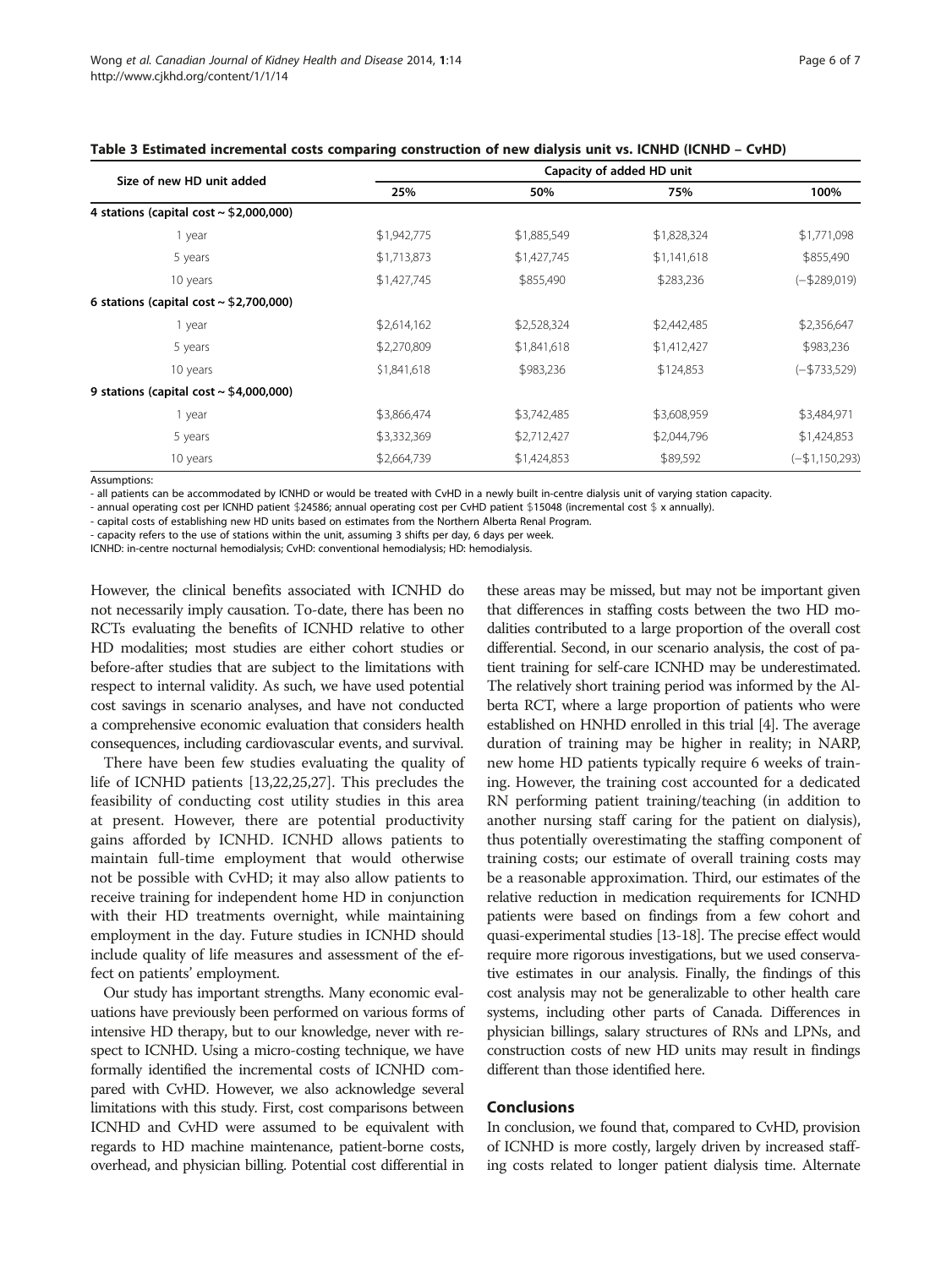<span id="page-5-0"></span>

| Table 3 Estimated incremental costs comparing construction of new dialysis unit vs. ICNHD (ICNHD - CvHD) |  |  |  |
|----------------------------------------------------------------------------------------------------------|--|--|--|
|----------------------------------------------------------------------------------------------------------|--|--|--|

| Size of new HD unit added                    | Capacity of added HD unit |             |             |                |  |
|----------------------------------------------|---------------------------|-------------|-------------|----------------|--|
|                                              | 25%                       | 50%         | 75%         | 100%           |  |
| 4 stations (capital cost $\sim$ \$2,000,000) |                           |             |             |                |  |
| 1 year                                       | \$1,942,775               | \$1,885,549 | \$1,828,324 | \$1,771,098    |  |
| 5 years                                      | \$1,713,873               | \$1,427,745 | \$1,141,618 | \$855,490      |  |
| 10 years                                     | \$1,427,745               | \$855,490   | \$283,236   | $(-$289,019)$  |  |
| 6 stations (capital cost $\sim$ \$2,700,000) |                           |             |             |                |  |
| 1 year                                       | \$2,614,162               | \$2,528,324 | \$2,442,485 | \$2,356,647    |  |
| 5 years                                      | \$2,270,809               | \$1,841,618 | \$1,412,427 | \$983,236      |  |
| 10 years                                     | \$1,841,618               | \$983,236   | \$124,853   | $(-$733,529)$  |  |
| 9 stations (capital cost $\sim$ \$4,000,000) |                           |             |             |                |  |
| 1 year                                       | \$3,866,474               | \$3,742,485 | \$3,608,959 | \$3,484,971    |  |
| 5 years                                      | \$3,332,369               | \$2,712,427 | \$2,044,796 | \$1,424,853    |  |
| 10 years                                     | \$2,664,739               | \$1,424,853 | \$89,592    | (-\$1,150,293) |  |

Assumptions:

- all patients can be accommodated by ICNHD or would be treated with CvHD in a newly built in-centre dialysis unit of varying station capacity.

- annual operating cost per ICNHD patient \$24586; annual operating cost per CvHD patient \$15048 (incremental cost \$ x annually).

- capital costs of establishing new HD units based on estimates from the Northern Alberta Renal Program.

- capacity refers to the use of stations within the unit, assuming 3 shifts per day, 6 days per week.

ICNHD: in-centre nocturnal hemodialysis; CvHD: conventional hemodialysis; HD: hemodialysis.

However, the clinical benefits associated with ICNHD do not necessarily imply causation. To-date, there has been no RCTs evaluating the benefits of ICNHD relative to other HD modalities; most studies are either cohort studies or before-after studies that are subject to the limitations with respect to internal validity. As such, we have used potential cost savings in scenario analyses, and have not conducted a comprehensive economic evaluation that considers health consequences, including cardiovascular events, and survival.

There have been few studies evaluating the quality of life of ICNHD patients [[13,22,25,27](#page-6-0)]. This precludes the feasibility of conducting cost utility studies in this area at present. However, there are potential productivity gains afforded by ICNHD. ICNHD allows patients to maintain full-time employment that would otherwise not be possible with CvHD; it may also allow patients to receive training for independent home HD in conjunction with their HD treatments overnight, while maintaining employment in the day. Future studies in ICNHD should include quality of life measures and assessment of the effect on patients' employment.

Our study has important strengths. Many economic evaluations have previously been performed on various forms of intensive HD therapy, but to our knowledge, never with respect to ICNHD. Using a micro-costing technique, we have formally identified the incremental costs of ICNHD compared with CvHD. However, we also acknowledge several limitations with this study. First, cost comparisons between ICNHD and CvHD were assumed to be equivalent with regards to HD machine maintenance, patient-borne costs, overhead, and physician billing. Potential cost differential in these areas may be missed, but may not be important given that differences in staffing costs between the two HD modalities contributed to a large proportion of the overall cost differential. Second, in our scenario analysis, the cost of patient training for self-care ICNHD may be underestimated. The relatively short training period was informed by the Alberta RCT, where a large proportion of patients who were established on HNHD enrolled in this trial [[4](#page-6-0)]. The average duration of training may be higher in reality; in NARP, new home HD patients typically require 6 weeks of training. However, the training cost accounted for a dedicated RN performing patient training/teaching (in addition to another nursing staff caring for the patient on dialysis), thus potentially overestimating the staffing component of training costs; our estimate of overall training costs may be a reasonable approximation. Third, our estimates of the relative reduction in medication requirements for ICNHD patients were based on findings from a few cohort and quasi-experimental studies [[13-18\]](#page-6-0). The precise effect would require more rigorous investigations, but we used conservative estimates in our analysis. Finally, the findings of this cost analysis may not be generalizable to other health care systems, including other parts of Canada. Differences in physician billings, salary structures of RNs and LPNs, and construction costs of new HD units may result in findings different than those identified here.

## **Conclusions**

In conclusion, we found that, compared to CvHD, provision of ICNHD is more costly, largely driven by increased staffing costs related to longer patient dialysis time. Alternate